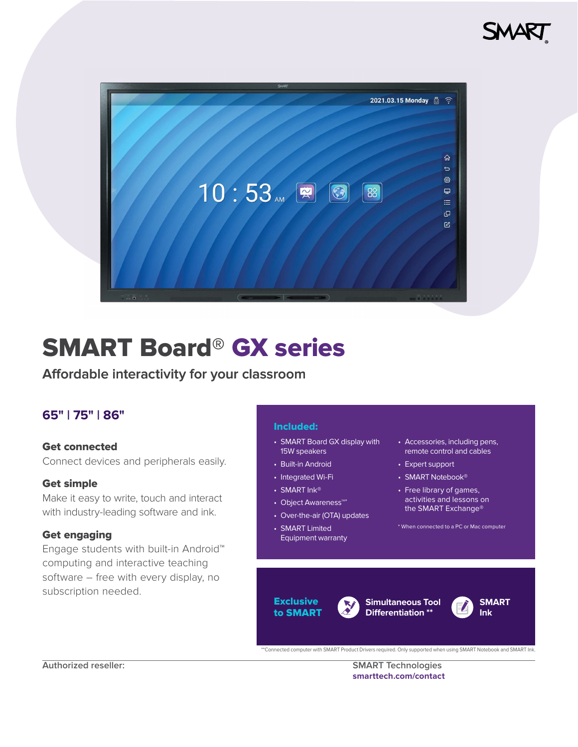



# SMART Board® GX series

# **Affordable interactivity for your classroom**

# **65" | 75" | 86"**

### Get connected

Connect devices and peripherals easily.

### Get simple

Make it easy to write, touch and interact with industry-leading software and ink.

### Get engaging

Engage students with built-in Android™ computing and interactive teaching software – free with every display, no subscription needed.

### Included:

- SMART Board GX display with 15W speakers
- Built-in Android
- Integrated Wi-Fi
- SMART Ink<sup>®</sup>
- Object Awareness™\*
- Over-the-air (OTA) updates
- SMART Limited Equipment warranty
- Accessories, including pens, remote control and cables
- Expert support
- SMART Notebook<sup>®</sup>
- Free library of games, activities and lessons on the SMART Exchange®

\* When connected to a PC or Mac computer

### **Exclusive** to SMART





**SMART Ink**

\*\*Connected computer with SMART Product Drivers required. Only supported when using SMART Notebook and SMART Ink.

**Authorized reseller: SMART Technologies [smarttech.com/contact](http://smarttech.com/contact)**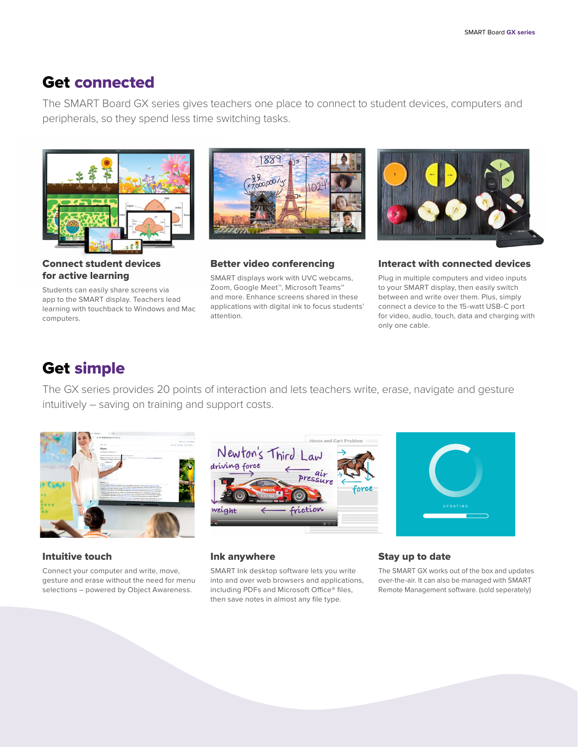# Get connected

The SMART Board GX series gives teachers one place to connect to student devices, computers and peripherals, so they spend less time switching tasks.



Connect student devices for active learning

Students can easily share screens via app to the SMART display. Teachers lead learning with touchback to Windows and Mac computers.



Better video conferencing SMART displays work with UVC webcams, Zoom, Google Meet™, Microsoft Teams™ and more. Enhance screens shared in these applications with digital ink to focus students'

attention.



### Interact with connected devices

Plug in multiple computers and video inputs to your SMART display, then easily switch between and write over them. Plus, simply connect a device to the 15-watt USB-C port for video, audio, touch, data and charging with only one cable.

# Get simple

The GX series provides 20 points of interaction and lets teachers write, erase, navigate and gesture intuitively – saving on training and support costs.



#### Intuitive touch

Connect your computer and write, move, gesture and erase without the need for menu selections – powered by Object Awareness.





#### Ink anywhere

SMART Ink desktop software lets you write into and over web browsers and applications, including PDFs and Microsoft Office® files, then save notes in almost any file type.

#### Stay up to date

The SMART GX works out of the box and updates over-the-air. It can also be managed with SMART Remote Management software. (sold seperately)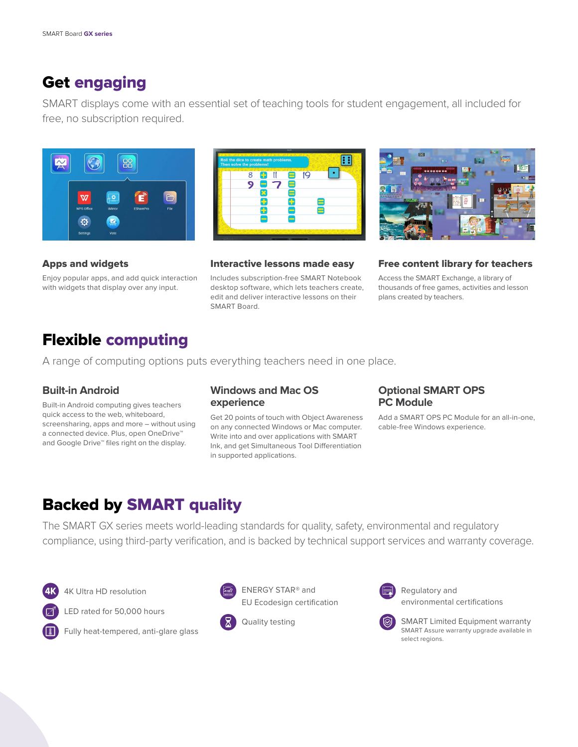# Get engaging

SMART displays come with an essential set of teaching tools for student engagement, all included for free, no subscription required.







Apps and widgets

Enjoy popular apps, and add quick interaction with widgets that display over any input.

### Interactive lessons made easy

Includes subscription-free SMART Notebook desktop software, which lets teachers create, edit and deliver interactive lessons on their SMART Board.

### Free content library for teachers

Access the SMART Exchange, a library of thousands of free games, activities and lesson plans created by teachers.

# Flexible computing

A range of computing options puts everything teachers need in one place.

# **Built-in Android**

Built-in Android computing gives teachers quick access to the web, whiteboard, screensharing, apps and more – without using a connected device. Plus, open OneDrive™ and Google Drive™ files right on the display.

### **Windows and Mac OS experience**

Get 20 points of touch with Object Awareness on any connected Windows or Mac computer. Write into and over applications with SMART Ink, and get Simultaneous Tool Differentiation in supported applications.

### **Optional SMART OPS PC Module**

Add a SMART OPS PC Module for an all-in-one, cable-free Windows experience.

# Backed by SMART quality

The SMART GX series meets world-leading standards for quality, safety, environmental and regulatory compliance, using third-party verification, and is backed by technical support services and warranty coverage.

4K Ultra HD resolution



LED rated for 50,000 hours



Fully heat-tempered, anti-glare glass



 ENERGY STAR® and EU Ecodesign certification

Quality testing



 Regulatory and environmental certifications



SMART Limited Equipment warranty SMART Assure warranty upgrade available in select regions.